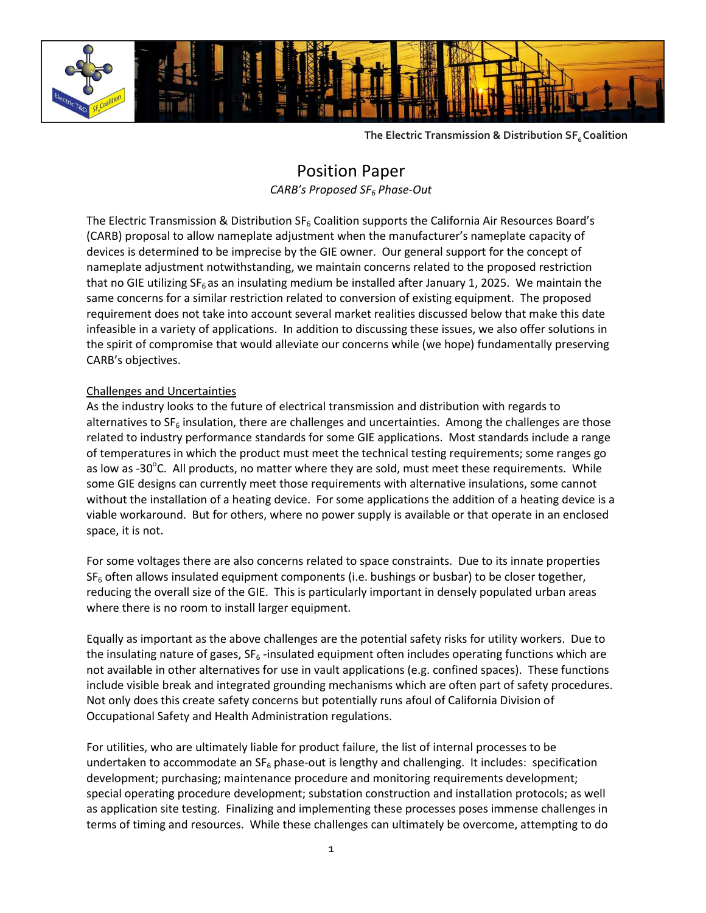

**The Electric Transmission & Distribution SF6 Coalition**

# Position Paper *CARB's Proposed SF<sup>6</sup> Phase-Out*

The Electric Transmission & Distribution  $SF_6$  Coalition supports the California Air Resources Board's (CARB) proposal to allow nameplate adjustment when the manufacturer's nameplate capacity of devices is determined to be imprecise by the GIE owner. Our general support for the concept of nameplate adjustment notwithstanding, we maintain concerns related to the proposed restriction that no GIE utilizing  $SF_6$  as an insulating medium be installed after January 1, 2025. We maintain the same concerns for a similar restriction related to conversion of existing equipment. The proposed requirement does not take into account several market realities discussed below that make this date infeasible in a variety of applications. In addition to discussing these issues, we also offer solutions in the spirit of compromise that would alleviate our concerns while (we hope) fundamentally preserving CARB's objectives.

## Challenges and Uncertainties

As the industry looks to the future of electrical transmission and distribution with regards to alternatives to  $SF<sub>6</sub>$  insulation, there are challenges and uncertainties. Among the challenges are those related to industry performance standards for some GIE applications. Most standards include a range of temperatures in which the product must meet the technical testing requirements; some ranges go as low as -30°C. All products, no matter where they are sold, must meet these requirements. While some GIE designs can currently meet those requirements with alternative insulations, some cannot without the installation of a heating device. For some applications the addition of a heating device is a viable workaround. But for others, where no power supply is available or that operate in an enclosed space, it is not.

For some voltages there are also concerns related to space constraints. Due to its innate properties  $SF<sub>6</sub>$  often allows insulated equipment components (i.e. bushings or busbar) to be closer together, reducing the overall size of the GIE. This is particularly important in densely populated urban areas where there is no room to install larger equipment.

Equally as important as the above challenges are the potential safety risks for utility workers. Due to the insulating nature of gases,  $SF_6$ -insulated equipment often includes operating functions which are not available in other alternatives for use in vault applications (e.g. confined spaces). These functions include visible break and integrated grounding mechanisms which are often part of safety procedures. Not only does this create safety concerns but potentially runs afoul of California Division of Occupational Safety and Health Administration regulations.

For utilities, who are ultimately liable for product failure, the list of internal processes to be undertaken to accommodate an  $SF_6$  phase-out is lengthy and challenging. It includes: specification development; purchasing; maintenance procedure and monitoring requirements development; special operating procedure development; substation construction and installation protocols; as well as application site testing. Finalizing and implementing these processes poses immense challenges in terms of timing and resources. While these challenges can ultimately be overcome, attempting to do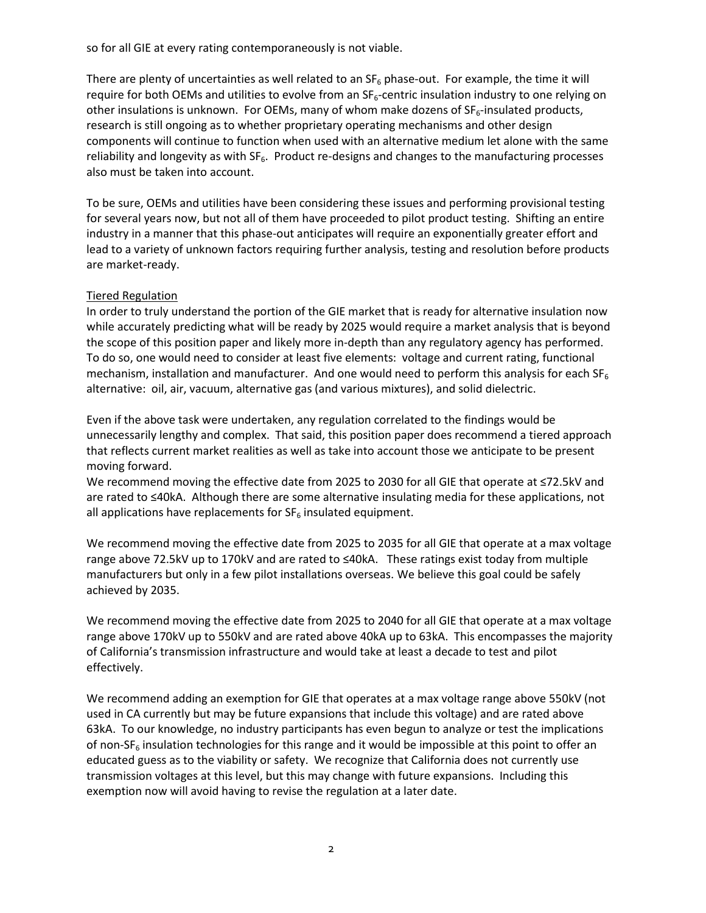so for all GIE at every rating contemporaneously is not viable.

There are plenty of uncertainties as well related to an  $SF_6$  phase-out. For example, the time it will require for both OEMs and utilities to evolve from an  $SF<sub>6</sub>$ -centric insulation industry to one relying on other insulations is unknown. For OEMs, many of whom make dozens of SF<sub>6</sub>-insulated products, research is still ongoing as to whether proprietary operating mechanisms and other design components will continue to function when used with an alternative medium let alone with the same reliability and longevity as with  $SF<sub>6</sub>$ . Product re-designs and changes to the manufacturing processes also must be taken into account.

To be sure, OEMs and utilities have been considering these issues and performing provisional testing for several years now, but not all of them have proceeded to pilot product testing. Shifting an entire industry in a manner that this phase-out anticipates will require an exponentially greater effort and lead to a variety of unknown factors requiring further analysis, testing and resolution before products are market-ready.

### Tiered Regulation

In order to truly understand the portion of the GIE market that is ready for alternative insulation now while accurately predicting what will be ready by 2025 would require a market analysis that is beyond the scope of this position paper and likely more in-depth than any regulatory agency has performed. To do so, one would need to consider at least five elements: voltage and current rating, functional mechanism, installation and manufacturer. And one would need to perform this analysis for each  $SF<sub>6</sub>$ alternative: oil, air, vacuum, alternative gas (and various mixtures), and solid dielectric.

Even if the above task were undertaken, any regulation correlated to the findings would be unnecessarily lengthy and complex. That said, this position paper does recommend a tiered approach that reflects current market realities as well as take into account those we anticipate to be present moving forward.

We recommend moving the effective date from 2025 to 2030 for all GIE that operate at ≤72.5kV and are rated to ≤40kA. Although there are some alternative insulating media for these applications, not all applications have replacements for  $SF_6$  insulated equipment.

We recommend moving the effective date from 2025 to 2035 for all GIE that operate at a max voltage range above 72.5kV up to 170kV and are rated to ≤40kA. These ratings exist today from multiple manufacturers but only in a few pilot installations overseas. We believe this goal could be safely achieved by 2035.

We recommend moving the effective date from 2025 to 2040 for all GIE that operate at a max voltage range above 170kV up to 550kV and are rated above 40kA up to 63kA. This encompasses the majority of California's transmission infrastructure and would take at least a decade to test and pilot effectively.

We recommend adding an exemption for GIE that operates at a max voltage range above 550kV (not used in CA currently but may be future expansions that include this voltage) and are rated above 63kA. To our knowledge, no industry participants has even begun to analyze or test the implications of non-SF<sub>6</sub> insulation technologies for this range and it would be impossible at this point to offer an educated guess as to the viability or safety. We recognize that California does not currently use transmission voltages at this level, but this may change with future expansions. Including this exemption now will avoid having to revise the regulation at a later date.